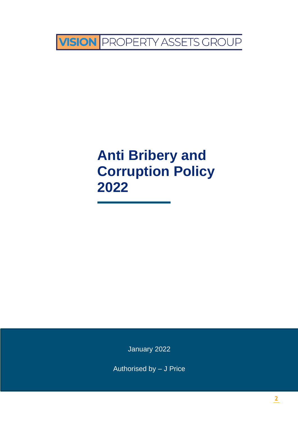

# **Anti Bribery and Corruption Policy 2022**

January 2022

Authorised by – J Price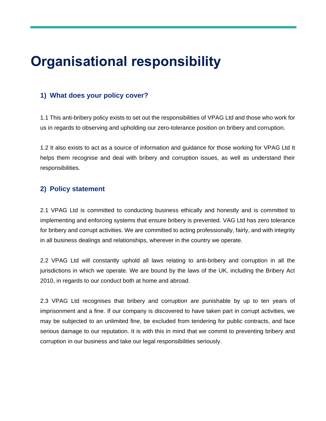# **Organisational responsibility**

# **1) What does your policy cover?**

1.1 This anti-bribery policy exists to set out the responsibilities of VPAG Ltd and those who work for us in regards to observing and upholding our zero-tolerance position on bribery and corruption.

1.2 It also exists to act as a source of information and guidance for those working for VPAG Ltd It helps them recognise and deal with bribery and corruption issues, as well as understand their responsibilities.

# **2) Policy statement**

2.1 VPAG Ltd is committed to conducting business ethically and honestly and is committed to implementing and enforcing systems that ensure bribery is prevented. VAG Ltd has zero tolerance for bribery and corrupt activities. We are committed to acting professionally, fairly, and with integrity in all business dealings and relationships, wherever in the country we operate.

2.2 VPAG Ltd will constantly uphold all laws relating to anti-bribery and corruption in all the jurisdictions in which we operate. We are bound by the laws of the UK, including the Bribery Act 2010, in regards to our conduct both at home and abroad.

2.3 VPAG Ltd recognises that bribery and corruption are punishable by up to ten years of imprisonment and a fine. If our company is discovered to have taken part in corrupt activities, we may be subjected to an unlimited fine, be excluded from tendering for public contracts, and face serious damage to our reputation. It is with this in mind that we commit to preventing bribery and corruption in our business and take our legal responsibilities seriously.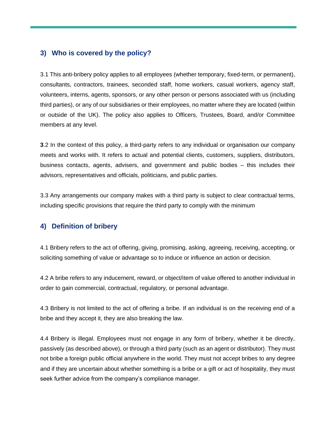#### **3) Who is covered by the policy?**

3.1 This anti-bribery policy applies to all employees (whether temporary, fixed-term, or permanent), consultants, contractors, trainees, seconded staff, home workers, casual workers, agency staff, volunteers, interns, agents, sponsors, or any other person or persons associated with us (including third parties), or any of our subsidiaries or their employees, no matter where they are located (within or outside of the UK). The policy also applies to Officers, Trustees, Board, and/or Committee members at any level.

**3**.2 In the context of this policy, a third-party refers to any individual or organisation our company meets and works with. It refers to actual and potential clients, customers, suppliers, distributors, business contacts, agents, advisers, and government and public bodies – this includes their advisors, representatives and officials, politicians, and public parties.

3.3 Any arrangements our company makes with a third party is subject to clear contractual terms, including specific provisions that require the third party to comply with the minimum

# **4) Definition of bribery**

4.1 Bribery refers to the act of offering, giving, promising, asking, agreeing, receiving, accepting, or soliciting something of value or advantage so to induce or influence an action or decision.

4.2 A bribe refers to any inducement, reward, or object/item of value offered to another individual in order to gain commercial, contractual, regulatory, or personal advantage.

4.3 Bribery is not limited to the act of offering a bribe. If an individual is on the receiving end of a bribe and they accept it, they are also breaking the law.

4.4 Bribery is illegal. Employees must not engage in any form of bribery, whether it be directly, passively (as described above), or through a third party (such as an agent or distributor). They must not bribe a foreign public official anywhere in the world. They must not accept bribes to any degree and if they are uncertain about whether something is a bribe or a gift or act of hospitality, they must seek further advice from the company's compliance manager.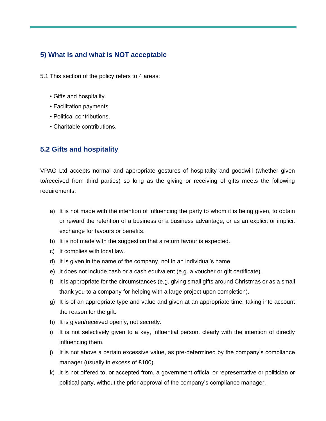# **5) What is and what is NOT acceptable**

5.1 This section of the policy refers to 4 areas:

- Gifts and hospitality.
- Facilitation payments.
- Political contributions.
- Charitable contributions.

#### **5.2 Gifts and hospitality**

VPAG Ltd accepts normal and appropriate gestures of hospitality and goodwill (whether given to/received from third parties) so long as the giving or receiving of gifts meets the following requirements:

- a) It is not made with the intention of influencing the party to whom it is being given, to obtain or reward the retention of a business or a business advantage, or as an explicit or implicit exchange for favours or benefits.
- b) It is not made with the suggestion that a return favour is expected.
- c) It complies with local law.
- d) It is given in the name of the company, not in an individual's name.
- e) It does not include cash or a cash equivalent (e.g. a voucher or gift certificate).
- f) It is appropriate for the circumstances (e.g. giving small gifts around Christmas or as a small thank you to a company for helping with a large project upon completion).
- g) It is of an appropriate type and value and given at an appropriate time, taking into account the reason for the gift.
- h) It is given/received openly, not secretly.
- i) It is not selectively given to a key, influential person, clearly with the intention of directly influencing them.
- j) It is not above a certain excessive value, as pre-determined by the company's compliance manager (usually in excess of £100).
- k) It is not offered to, or accepted from, a government official or representative or politician or political party, without the prior approval of the company's compliance manager.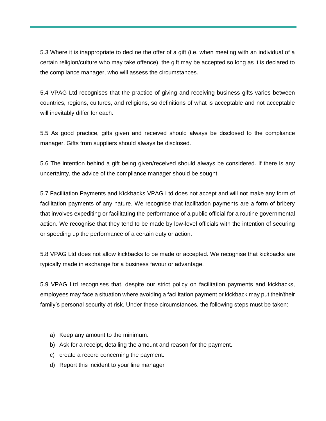5.3 Where it is inappropriate to decline the offer of a gift (i.e. when meeting with an individual of a certain religion/culture who may take offence), the gift may be accepted so long as it is declared to the compliance manager, who will assess the circumstances.

5.4 VPAG Ltd recognises that the practice of giving and receiving business gifts varies between countries, regions, cultures, and religions, so definitions of what is acceptable and not acceptable will inevitably differ for each.

5.5 As good practice, gifts given and received should always be disclosed to the compliance manager. Gifts from suppliers should always be disclosed.

5.6 The intention behind a gift being given/received should always be considered. If there is any uncertainty, the advice of the compliance manager should be sought.

5.7 Facilitation Payments and Kickbacks VPAG Ltd does not accept and will not make any form of facilitation payments of any nature. We recognise that facilitation payments are a form of bribery that involves expediting or facilitating the performance of a public official for a routine governmental action. We recognise that they tend to be made by low-level officials with the intention of securing or speeding up the performance of a certain duty or action.

5.8 VPAG Ltd does not allow kickbacks to be made or accepted. We recognise that kickbacks are typically made in exchange for a business favour or advantage.

5.9 VPAG Ltd recognises that, despite our strict policy on facilitation payments and kickbacks, employees may face a situation where avoiding a facilitation payment or kickback may put their/their family's personal security at risk. Under these circumstances, the following steps must be taken:

- a) Keep any amount to the minimum.
- b) Ask for a receipt, detailing the amount and reason for the payment.
- c) create a record concerning the payment.
- d) Report this incident to your line manager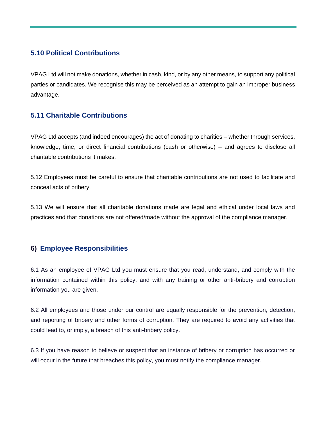#### **5.10 Political Contributions**

VPAG Ltd will not make donations, whether in cash, kind, or by any other means, to support any political parties or candidates. We recognise this may be perceived as an attempt to gain an improper business advantage.

# **5.11 Charitable Contributions**

VPAG Ltd accepts (and indeed encourages) the act of donating to charities – whether through services, knowledge, time, or direct financial contributions (cash or otherwise) – and agrees to disclose all charitable contributions it makes.

5.12 Employees must be careful to ensure that charitable contributions are not used to facilitate and conceal acts of bribery.

5.13 We will ensure that all charitable donations made are legal and ethical under local laws and practices and that donations are not offered/made without the approval of the compliance manager.

#### **6) Employee Responsibilities**

6.1 As an employee of VPAG Ltd you must ensure that you read, understand, and comply with the information contained within this policy, and with any training or other anti-bribery and corruption information you are given.

6.2 All employees and those under our control are equally responsible for the prevention, detection, and reporting of bribery and other forms of corruption. They are required to avoid any activities that could lead to, or imply, a breach of this anti-bribery policy.

6.3 If you have reason to believe or suspect that an instance of bribery or corruption has occurred or will occur in the future that breaches this policy, you must notify the compliance manager.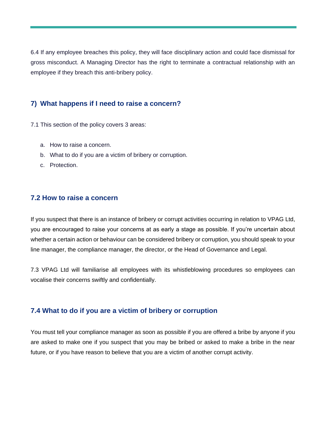6.4 If any employee breaches this policy, they will face disciplinary action and could face dismissal for gross misconduct. A Managing Director has the right to terminate a contractual relationship with an employee if they breach this anti-bribery policy.

#### **7) What happens if I need to raise a concern?**

- 7.1 This section of the policy covers 3 areas:
	- a. How to raise a concern.
	- b. What to do if you are a victim of bribery or corruption.
	- c. Protection.

#### **7.2 How to raise a concern**

If you suspect that there is an instance of bribery or corrupt activities occurring in relation to VPAG Ltd, you are encouraged to raise your concerns at as early a stage as possible. If you're uncertain about whether a certain action or behaviour can be considered bribery or corruption, you should speak to your line manager, the compliance manager, the director, or the Head of Governance and Legal.

7.3 VPAG Ltd will familiarise all employees with its whistleblowing procedures so employees can vocalise their concerns swiftly and confidentially.

#### **7.4 What to do if you are a victim of bribery or corruption**

You must tell your compliance manager as soon as possible if you are offered a bribe by anyone if you are asked to make one if you suspect that you may be bribed or asked to make a bribe in the near future, or if you have reason to believe that you are a victim of another corrupt activity.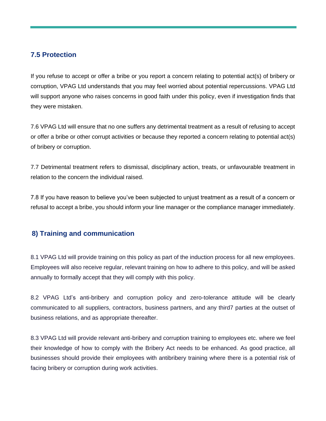#### **7.5 Protection**

If you refuse to accept or offer a bribe or you report a concern relating to potential act(s) of bribery or corruption, VPAG Ltd understands that you may feel worried about potential repercussions. VPAG Ltd will support anyone who raises concerns in good faith under this policy, even if investigation finds that they were mistaken.

7.6 VPAG Ltd will ensure that no one suffers any detrimental treatment as a result of refusing to accept or offer a bribe or other corrupt activities or because they reported a concern relating to potential act(s) of bribery or corruption.

7.7 Detrimental treatment refers to dismissal, disciplinary action, treats, or unfavourable treatment in relation to the concern the individual raised.

7.8 If you have reason to believe you've been subjected to unjust treatment as a result of a concern or refusal to accept a bribe, you should inform your line manager or the compliance manager immediately.

#### **8) Training and communication**

8.1 VPAG Ltd will provide training on this policy as part of the induction process for all new employees. Employees will also receive regular, relevant training on how to adhere to this policy, and will be asked annually to formally accept that they will comply with this policy.

8.2 VPAG Ltd's anti-bribery and corruption policy and zero-tolerance attitude will be clearly communicated to all suppliers, contractors, business partners, and any third7 parties at the outset of business relations, and as appropriate thereafter.

8.3 VPAG Ltd will provide relevant anti-bribery and corruption training to employees etc. where we feel their knowledge of how to comply with the Bribery Act needs to be enhanced. As good practice, all businesses should provide their employees with antibribery training where there is a potential risk of facing bribery or corruption during work activities.